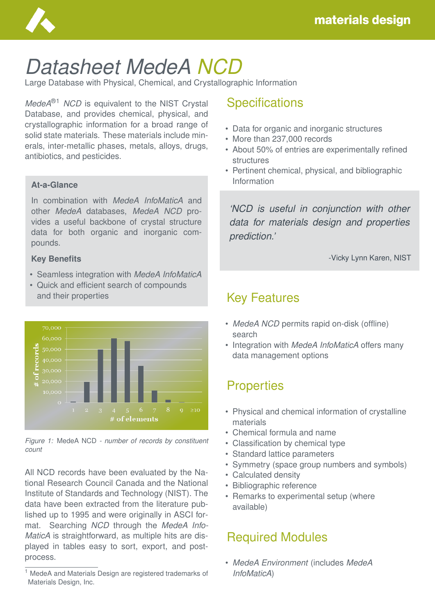

# *Datasheet MedeA NCD*

Large Database with Physical, Chemical, and Crystallographic Information

*MedeA*®1 *NCD* is equivalent to the NIST Crystal Database, and provides chemical, physical, and crystallographic information for a broad range of solid state materials. These materials include minerals, inter-metallic phases, metals, alloys, drugs, antibiotics, and pesticides.

### **At-a-Glance**

In combination with *MedeA InfoMaticA* and other *MedeA* databases, *MedeA NCD* provides a useful backbone of crystal structure data for both organic and inorganic compounds.

### **Key Benefits**

- Seamless integration with *MedeA InfoMaticA*
- Quick and efficient search of compounds and their properties





All NCD records have been evaluated by the National Research Council Canada and the National Institute of Standards and Technology (NIST). The data have been extracted from the literature published up to 1995 and were originally in ASCI format. Searching *NCD* through the *MedeA Info-MaticA* is straightforward, as multiple hits are displayed in tables easy to sort, export, and postprocess.

# **Specifications**

- Data for organic and inorganic structures
- More than 237,000 records
- About 50% of entries are experimentally refined structures
- Pertinent chemical, physical, and bibliographic Information

*'NCD is useful in conjunction with other data for materials design and properties prediction.'*

-Vicky Lynn Karen, NIST

# Key Features

- *MedeA NCD* permits rapid on-disk (offline) search
- Integration with *MedeA InfoMaticA* offers many data management options

# **Properties**

- Physical and chemical information of crystalline materials
- Chemical formula and name
- Classification by chemical type
- Standard lattice parameters
- Symmetry (space group numbers and symbols)
- Calculated density
- Bibliographic reference
- Remarks to experimental setup (where available)

# Required Modules

• *MedeA Environment* (includes *MedeA InfoMaticA*)

<sup>1</sup> MedeA and Materials Design are registered trademarks of Materials Design, Inc.